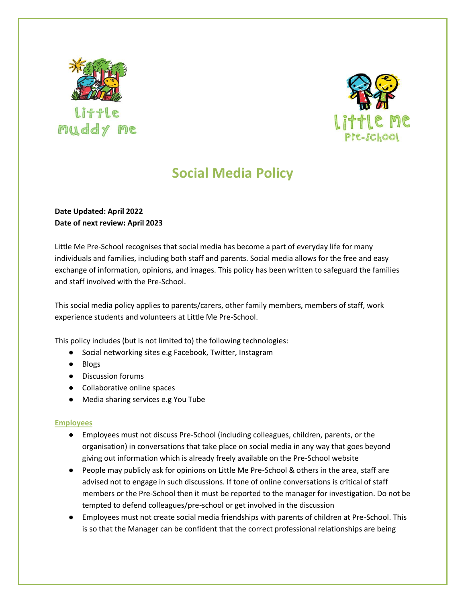



# **Social Media Policy**

## **Date Updated: April 2022 Date of next review: April 2023**

Little Me Pre-School recognises that social media has become a part of everyday life for many individuals and families, including both staff and parents. Social media allows for the free and easy exchange of information, opinions, and images. This policy has been written to safeguard the families and staff involved with the Pre-School.

This social media policy applies to parents/carers, other family members, members of staff, work experience students and volunteers at Little Me Pre-School.

This policy includes (but is not limited to) the following technologies:

- Social networking sites e.g Facebook, Twitter, Instagram
- Blogs
- Discussion forums
- Collaborative online spaces
- Media sharing services e.g You Tube

#### **Employees**

- Employees must not discuss Pre-School (including colleagues, children, parents, or the organisation) in conversations that take place on social media in any way that goes beyond giving out information which is already freely available on the Pre-School website
- People may publicly ask for opinions on Little Me Pre-School & others in the area, staff are advised not to engage in such discussions. If tone of online conversations is critical of staff members or the Pre-School then it must be reported to the manager for investigation. Do not be tempted to defend colleagues/pre-school or get involved in the discussion
- Employees must not create social media friendships with parents of children at Pre-School. This is so that the Manager can be confident that the correct professional relationships are being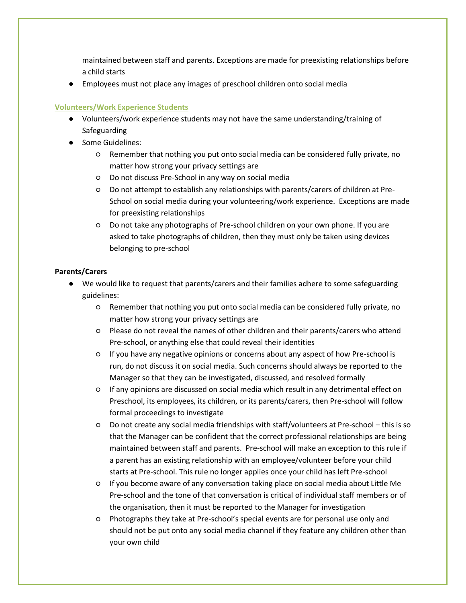maintained between staff and parents. Exceptions are made for preexisting relationships before a child starts

● Employees must not place any images of preschool children onto social media

## **Volunteers/Work Experience Students**

- Volunteers/work experience students may not have the same understanding/training of Safeguarding
- Some Guidelines:
	- Remember that nothing you put onto social media can be considered fully private, no matter how strong your privacy settings are
	- Do not discuss Pre-School in any way on social media
	- Do not attempt to establish any relationships with parents/carers of children at Pre-School on social media during your volunteering/work experience. Exceptions are made for preexisting relationships
	- Do not take any photographs of Pre-school children on your own phone. If you are asked to take photographs of children, then they must only be taken using devices belonging to pre-school

#### **Parents/Carers**

- We would like to request that parents/carers and their families adhere to some safeguarding guidelines:
	- Remember that nothing you put onto social media can be considered fully private, no matter how strong your privacy settings are
	- Please do not reveal the names of other children and their parents/carers who attend Pre-school, or anything else that could reveal their identities
	- If you have any negative opinions or concerns about any aspect of how Pre-school is run, do not discuss it on social media. Such concerns should always be reported to the Manager so that they can be investigated, discussed, and resolved formally
	- If any opinions are discussed on social media which result in any detrimental effect on Preschool, its employees, its children, or its parents/carers, then Pre-school will follow formal proceedings to investigate
	- Do not create any social media friendships with staff/volunteers at Pre-school this is so that the Manager can be confident that the correct professional relationships are being maintained between staff and parents. Pre-school will make an exception to this rule if a parent has an existing relationship with an employee/volunteer before your child starts at Pre-school. This rule no longer applies once your child has left Pre-school
	- If you become aware of any conversation taking place on social media about Little Me Pre-school and the tone of that conversation is critical of individual staff members or of the organisation, then it must be reported to the Manager for investigation
	- Photographs they take at Pre-school's special events are for personal use only and should not be put onto any social media channel if they feature any children other than your own child